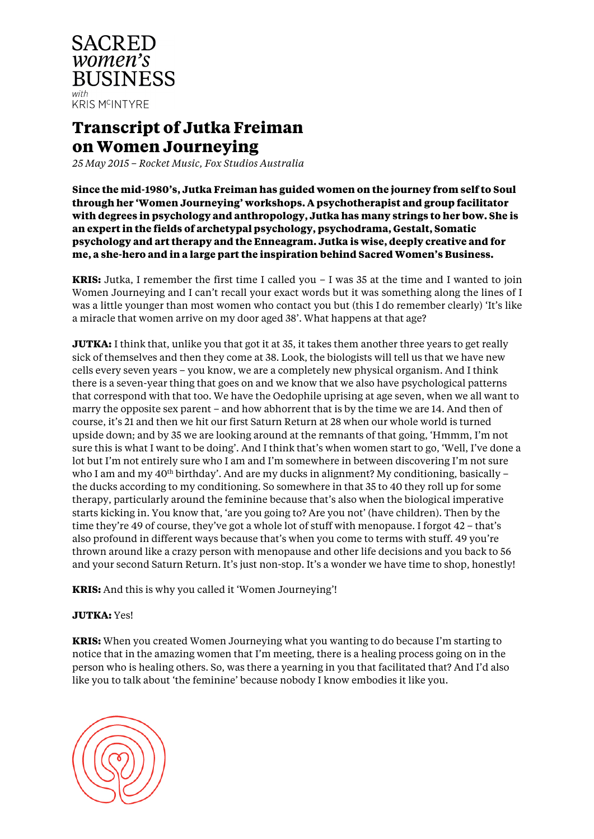

# **Transcript of Jutka Freiman on Women Journeying**

*25 May 2015 – Rocket Music, Fox Studios Australia*

**Since the mid-1980's, Jutka Freiman has guided women on the journey from self to Soul through her 'Women Journeying' workshops. A psychotherapist and group facilitator with degrees in psychology and anthropology, Jutka has many strings to her bow. She is an expert in the fields of archetypal psychology, psychodrama, Gestalt, Somatic psychology and art therapy and the Enneagram. Jutka is wise, deeply creative and for me, a she-hero and in a large part the inspiration behind Sacred Women's Business.** 

**KRIS:** Jutka, I remember the first time I called you – I was 35 at the time and I wanted to join Women Journeying and I can't recall your exact words but it was something along the lines of I was a little younger than most women who contact you but (this I do remember clearly) 'It's like a miracle that women arrive on my door aged 38'. What happens at that age?

**JUTKA:** I think that, unlike you that got it at 35, it takes them another three years to get really sick of themselves and then they come at 38. Look, the biologists will tell us that we have new cells every seven years – you know, we are a completely new physical organism. And I think there is a seven-year thing that goes on and we know that we also have psychological patterns that correspond with that too. We have the Oedophile uprising at age seven, when we all want to marry the opposite sex parent – and how abhorrent that is by the time we are 14. And then of course, it's 21 and then we hit our first Saturn Return at 28 when our whole world is turned upside down; and by 35 we are looking around at the remnants of that going, 'Hmmm, I'm not sure this is what I want to be doing'. And I think that's when women start to go, 'Well, I've done a lot but I'm not entirely sure who I am and I'm somewhere in between discovering I'm not sure who I am and my  $40<sup>th</sup>$  birthday'. And are my ducks in alignment? My conditioning, basically – the ducks according to my conditioning. So somewhere in that 35 to 40 they roll up for some therapy, particularly around the feminine because that's also when the biological imperative starts kicking in. You know that, 'are you going to? Are you not' (have children). Then by the time they're 49 of course, they've got a whole lot of stuff with menopause. I forgot 42 – that's also profound in different ways because that's when you come to terms with stuff. 49 you're thrown around like a crazy person with menopause and other life decisions and you back to 56 and your second Saturn Return. It's just non-stop. It's a wonder we have time to shop, honestly!

**KRIS:** And this is why you called it 'Women Journeying'!

## **JUTKA:** Yes!

**KRIS:** When you created Women Journeying what you wanting to do because I'm starting to notice that in the amazing women that I'm meeting, there is a healing process going on in the person who is healing others. So, was there a yearning in you that facilitated that? And I'd also like you to talk about 'the feminine' because nobody I know embodies it like you.

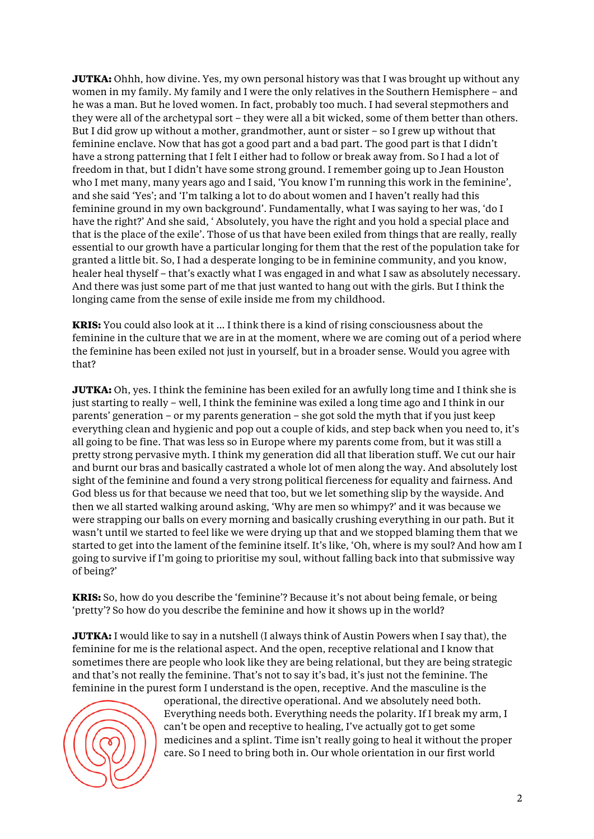**JUTKA:** Ohhh, how divine. Yes, my own personal history was that I was brought up without any women in my family. My family and I were the only relatives in the Southern Hemisphere – and he was a man. But he loved women. In fact, probably too much. I had several stepmothers and they were all of the archetypal sort – they were all a bit wicked, some of them better than others. But I did grow up without a mother, grandmother, aunt or sister – so I grew up without that feminine enclave. Now that has got a good part and a bad part. The good part is that I didn't have a strong patterning that I felt I either had to follow or break away from. So I had a lot of freedom in that, but I didn't have some strong ground. I remember going up to Jean Houston who I met many, many years ago and I said, 'You know I'm running this work in the feminine', and she said 'Yes'; and 'I'm talking a lot to do about women and I haven't really had this feminine ground in my own background'. Fundamentally, what I was saying to her was, 'do I have the right?' And she said, ' Absolutely, you have the right and you hold a special place and that is the place of the exile'. Those of us that have been exiled from things that are really, really essential to our growth have a particular longing for them that the rest of the population take for granted a little bit. So, I had a desperate longing to be in feminine community, and you know, healer heal thyself – that's exactly what I was engaged in and what I saw as absolutely necessary. And there was just some part of me that just wanted to hang out with the girls. But I think the longing came from the sense of exile inside me from my childhood.

**KRIS:** You could also look at it … I think there is a kind of rising consciousness about the feminine in the culture that we are in at the moment, where we are coming out of a period where the feminine has been exiled not just in yourself, but in a broader sense. Would you agree with that?

**JUTKA:** Oh, yes. I think the feminine has been exiled for an awfully long time and I think she is just starting to really – well, I think the feminine was exiled a long time ago and I think in our parents' generation – or my parents generation – she got sold the myth that if you just keep everything clean and hygienic and pop out a couple of kids, and step back when you need to, it's all going to be fine. That was less so in Europe where my parents come from, but it was still a pretty strong pervasive myth. I think my generation did all that liberation stuff. We cut our hair and burnt our bras and basically castrated a whole lot of men along the way. And absolutely lost sight of the feminine and found a very strong political fierceness for equality and fairness. And God bless us for that because we need that too, but we let something slip by the wayside. And then we all started walking around asking, 'Why are men so whimpy?' and it was because we were strapping our balls on every morning and basically crushing everything in our path. But it wasn't until we started to feel like we were drying up that and we stopped blaming them that we started to get into the lament of the feminine itself. It's like, 'Oh, where is my soul? And how am I going to survive if I'm going to prioritise my soul, without falling back into that submissive way of being?'

**KRIS:** So, how do you describe the 'feminine'? Because it's not about being female, or being 'pretty'? So how do you describe the feminine and how it shows up in the world?

**JUTKA:** I would like to say in a nutshell (I always think of Austin Powers when I say that), the feminine for me is the relational aspect. And the open, receptive relational and I know that sometimes there are people who look like they are being relational, but they are being strategic and that's not really the feminine. That's not to say it's bad, it's just not the feminine. The feminine in the purest form I understand is the open, receptive. And the masculine is the



operational, the directive operational. And we absolutely need both. Everything needs both. Everything needs the polarity. If I break my arm, I can't be open and receptive to healing, I've actually got to get some medicines and a splint. Time isn't really going to heal it without the proper care. So I need to bring both in. Our whole orientation in our first world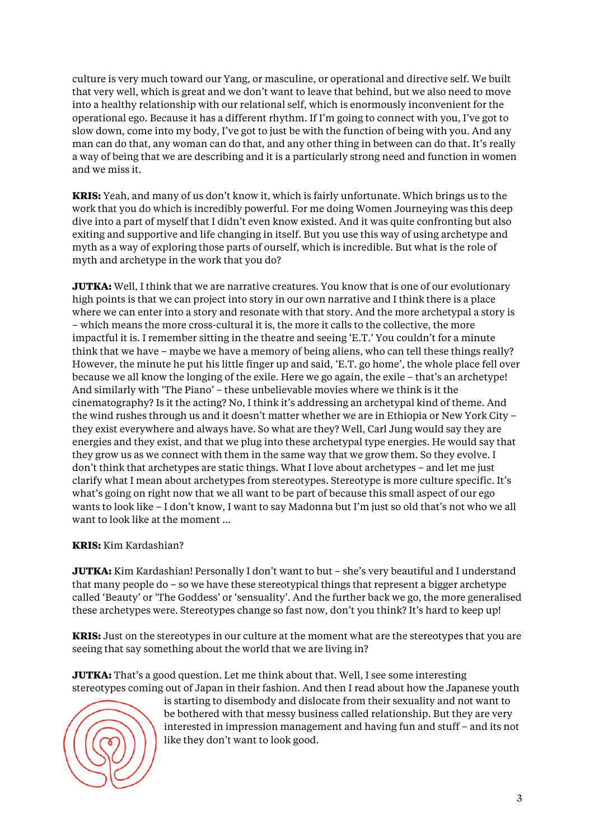culture is very much toward our Yang, or masculine, or operational and directive self. We built that very well, which is great and we don't want to leave that behind, but we also need to move into a healthy relationship with our relational self, which is enormously inconvenient for the operational ego. Because it has a different rhythm. If I'm going to connect with you, I've got to slow down, come into my body, I've got to just be with the function of being with you. And any man can do that, any woman can do that, and any other thing in between can do that. It's really a way of being that we are describing and it is a particularly strong need and function in women and we miss it.

**KRIS:** Yeah, and many of us don't know it, which is fairly unfortunate. Which brings us to the work that you do which is incredibly powerful. For me doing Women Journeying was this deep dive into a part of myself that I didn't even know existed. And it was quite confronting but also exiting and supportive and life changing in itself. But you use this way of using archetype and myth as a way of exploring those parts of ourself, which is incredible. But what is the role of myth and archetype in the work that you do?

**JUTKA:** Well, I think that we are narrative creatures. You know that is one of our evolutionary high points is that we can project into story in our own narrative and I think there is a place where we can enter into a story and resonate with that story. And the more archetypal a story is – which means the more cross-cultural it is, the more it calls to the collective, the more impactful it is. I remember sitting in the theatre and seeing 'E.T.' You couldn't for a minute think that we have – maybe we have a memory of being aliens, who can tell these things really? However, the minute he put his little finger up and said, 'E.T. go home', the whole place fell over because we all know the longing of the exile. Here we go again, the exile – that's an archetype! And similarly with 'The Piano' – these unbelievable movies where we think is it the cinematography? Is it the acting? No, I think it's addressing an archetypal kind of theme. And the wind rushes through us and it doesn't matter whether we are in Ethiopia or New York City – they exist everywhere and always have. So what are they? Well, Carl Jung would say they are energies and they exist, and that we plug into these archetypal type energies. He would say that they grow us as we connect with them in the same way that we grow them. So they evolve. I don't think that archetypes are static things. What I love about archetypes – and let me just clarify what I mean about archetypes from stereotypes. Stereotype is more culture specific. It's what's going on right now that we all want to be part of because this small aspect of our ego wants to look like – I don't know, I want to say Madonna but I'm just so old that's not who we all want to look like at the moment …

## **KRIS:** Kim Kardashian?

**JUTKA:** Kim Kardashian! Personally I don't want to but – she's very beautiful and I understand that many people do – so we have these stereotypical things that represent a bigger archetype called 'Beauty' or 'The Goddess' or 'sensuality'. And the further back we go, the more generalised these archetypes were. Stereotypes change so fast now, don't you think? It's hard to keep up!

**KRIS:** Just on the stereotypes in our culture at the moment what are the stereotypes that you are seeing that say something about the world that we are living in?

**JUTKA:** That's a good question. Let me think about that. Well, I see some interesting stereotypes coming out of Japan in their fashion. And then I read about how the Japanese youth



is starting to disembody and dislocate from their sexuality and not want to be bothered with that messy business called relationship. But they are very interested in impression management and having fun and stuff – and its not like they don't want to look good.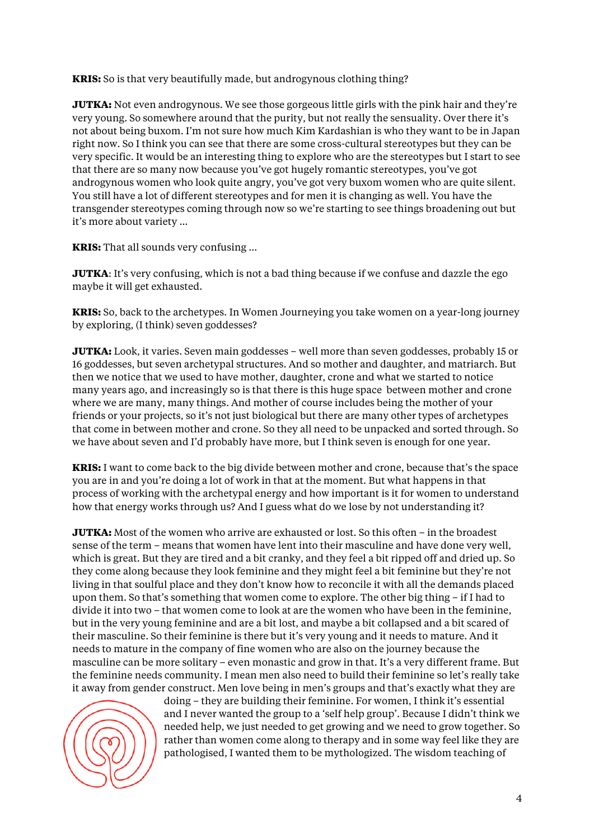**KRIS:** So is that very beautifully made, but androgynous clothing thing?

**JUTKA:** Not even androgynous. We see those gorgeous little girls with the pink hair and they're very young. So somewhere around that the purity, but not really the sensuality. Over there it's not about being buxom. I'm not sure how much Kim Kardashian is who they want to be in Japan right now. So I think you can see that there are some cross-cultural stereotypes but they can be very specific. It would be an interesting thing to explore who are the stereotypes but I start to see that there are so many now because you've got hugely romantic stereotypes, you've got androgynous women who look quite angry, you've got very buxom women who are quite silent. You still have a lot of different stereotypes and for men it is changing as well. You have the transgender stereotypes coming through now so we're starting to see things broadening out but it's more about variety …

**KRIS:** That all sounds very confusing …

**JUTKA**: It's very confusing, which is not a bad thing because if we confuse and dazzle the ego maybe it will get exhausted.

**KRIS:** So, back to the archetypes. In Women Journeying you take women on a year-long journey by exploring, (I think) seven goddesses?

**JUTKA:** Look, it varies. Seven main goddesses – well more than seven goddesses, probably 15 or 16 goddesses, but seven archetypal structures. And so mother and daughter, and matriarch. But then we notice that we used to have mother, daughter, crone and what we started to notice many years ago, and increasingly so is that there is this huge space between mother and crone where we are many, many things. And mother of course includes being the mother of your friends or your projects, so it's not just biological but there are many other types of archetypes that come in between mother and crone. So they all need to be unpacked and sorted through. So we have about seven and I'd probably have more, but I think seven is enough for one year.

**KRIS:** I want to come back to the big divide between mother and crone, because that's the space you are in and you're doing a lot of work in that at the moment. But what happens in that process of working with the archetypal energy and how important is it for women to understand how that energy works through us? And I guess what do we lose by not understanding it?

**JUTKA:** Most of the women who arrive are exhausted or lost. So this often – in the broadest sense of the term – means that women have lent into their masculine and have done very well, which is great. But they are tired and a bit cranky, and they feel a bit ripped off and dried up. So they come along because they look feminine and they might feel a bit feminine but they're not living in that soulful place and they don't know how to reconcile it with all the demands placed upon them. So that's something that women come to explore. The other big thing – if I had to divide it into two – that women come to look at are the women who have been in the feminine, but in the very young feminine and are a bit lost, and maybe a bit collapsed and a bit scared of their masculine. So their feminine is there but it's very young and it needs to mature. And it needs to mature in the company of fine women who are also on the journey because the masculine can be more solitary – even monastic and grow in that. It's a very different frame. But the feminine needs community. I mean men also need to build their feminine so let's really take it away from gender construct. Men love being in men's groups and that's exactly what they are



doing – they are building their feminine. For women, I think it's essential and I never wanted the group to a 'self help group'. Because I didn't think we needed help, we just needed to get growing and we need to grow together. So rather than women come along to therapy and in some way feel like they are pathologised, I wanted them to be mythologized. The wisdom teaching of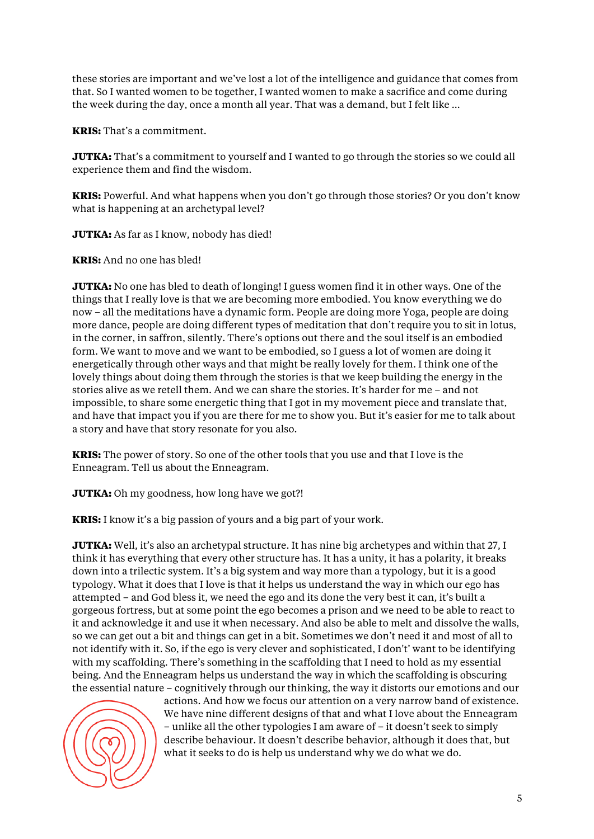these stories are important and we've lost a lot of the intelligence and guidance that comes from that. So I wanted women to be together, I wanted women to make a sacrifice and come during the week during the day, once a month all year. That was a demand, but I felt like …

**KRIS:** That's a commitment.

**JUTKA:** That's a commitment to yourself and I wanted to go through the stories so we could all experience them and find the wisdom.

**KRIS:** Powerful. And what happens when you don't go through those stories? Or you don't know what is happening at an archetypal level?

**JUTKA:** As far as I know, nobody has died!

**KRIS:** And no one has bled!

**JUTKA:** No one has bled to death of longing! I guess women find it in other ways. One of the things that I really love is that we are becoming more embodied. You know everything we do now – all the meditations have a dynamic form. People are doing more Yoga, people are doing more dance, people are doing different types of meditation that don't require you to sit in lotus, in the corner, in saffron, silently. There's options out there and the soul itself is an embodied form. We want to move and we want to be embodied, so I guess a lot of women are doing it energetically through other ways and that might be really lovely for them. I think one of the lovely things about doing them through the stories is that we keep building the energy in the stories alive as we retell them. And we can share the stories. It's harder for me – and not impossible, to share some energetic thing that I got in my movement piece and translate that, and have that impact you if you are there for me to show you. But it's easier for me to talk about a story and have that story resonate for you also.

**KRIS:** The power of story. So one of the other tools that you use and that I love is the Enneagram. Tell us about the Enneagram.

**JUTKA:** Oh my goodness, how long have we got?!

**KRIS:** I know it's a big passion of yours and a big part of your work.

**JUTKA:** Well, it's also an archetypal structure. It has nine big archetypes and within that 27, I think it has everything that every other structure has. It has a unity, it has a polarity, it breaks down into a trilectic system. It's a big system and way more than a typology, but it is a good typology. What it does that I love is that it helps us understand the way in which our ego has attempted – and God bless it, we need the ego and its done the very best it can, it's built a gorgeous fortress, but at some point the ego becomes a prison and we need to be able to react to it and acknowledge it and use it when necessary. And also be able to melt and dissolve the walls, so we can get out a bit and things can get in a bit. Sometimes we don't need it and most of all to not identify with it. So, if the ego is very clever and sophisticated, I don't' want to be identifying with my scaffolding. There's something in the scaffolding that I need to hold as my essential being. And the Enneagram helps us understand the way in which the scaffolding is obscuring the essential nature – cognitively through our thinking, the way it distorts our emotions and our



actions. And how we focus our attention on a very narrow band of existence. We have nine different designs of that and what I love about the Enneagram – unlike all the other typologies I am aware of – it doesn't seek to simply describe behaviour. It doesn't describe behavior, although it does that, but what it seeks to do is help us understand why we do what we do.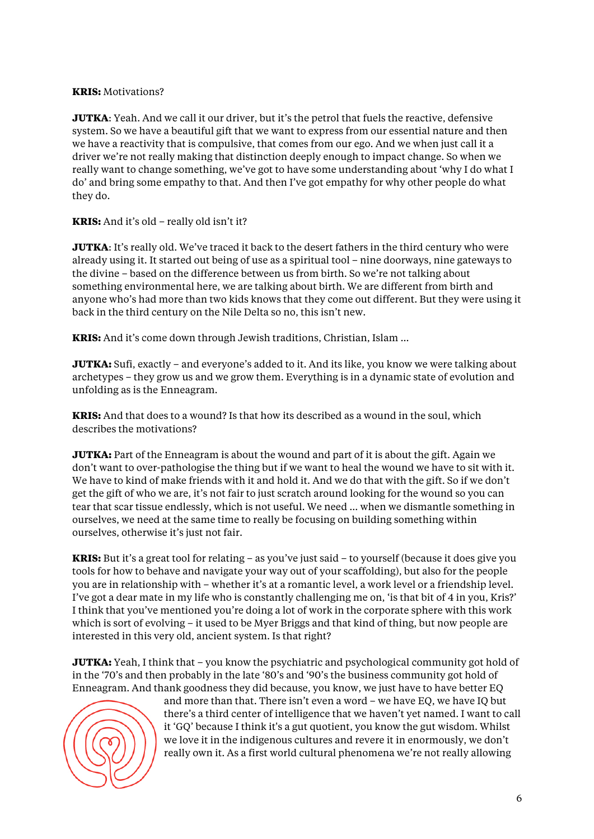### **KRIS:** Motivations?

**JUTKA**: Yeah. And we call it our driver, but it's the petrol that fuels the reactive, defensive system. So we have a beautiful gift that we want to express from our essential nature and then we have a reactivity that is compulsive, that comes from our ego. And we when just call it a driver we're not really making that distinction deeply enough to impact change. So when we really want to change something, we've got to have some understanding about 'why I do what I do' and bring some empathy to that. And then I've got empathy for why other people do what they do.

### **KRIS:** And it's old – really old isn't it?

**JUTKA**: It's really old. We've traced it back to the desert fathers in the third century who were already using it. It started out being of use as a spiritual tool – nine doorways, nine gateways to the divine – based on the difference between us from birth. So we're not talking about something environmental here, we are talking about birth. We are different from birth and anyone who's had more than two kids knows that they come out different. But they were using it back in the third century on the Nile Delta so no, this isn't new.

**KRIS:** And it's come down through Jewish traditions, Christian, Islam …

**JUTKA:** Sufi, exactly – and everyone's added to it. And its like, you know we were talking about archetypes – they grow us and we grow them. Everything is in a dynamic state of evolution and unfolding as is the Enneagram.

**KRIS:** And that does to a wound? Is that how its described as a wound in the soul, which describes the motivations?

**JUTKA:** Part of the Enneagram is about the wound and part of it is about the gift. Again we don't want to over-pathologise the thing but if we want to heal the wound we have to sit with it. We have to kind of make friends with it and hold it. And we do that with the gift. So if we don't get the gift of who we are, it's not fair to just scratch around looking for the wound so you can tear that scar tissue endlessly, which is not useful. We need … when we dismantle something in ourselves, we need at the same time to really be focusing on building something within ourselves, otherwise it's just not fair.

**KRIS:** But it's a great tool for relating – as you've just said – to yourself (because it does give you tools for how to behave and navigate your way out of your scaffolding), but also for the people you are in relationship with – whether it's at a romantic level, a work level or a friendship level. I've got a dear mate in my life who is constantly challenging me on, 'is that bit of 4 in you, Kris?' I think that you've mentioned you're doing a lot of work in the corporate sphere with this work which is sort of evolving – it used to be Myer Briggs and that kind of thing, but now people are interested in this very old, ancient system. Is that right?

**JUTKA:** Yeah, I think that – you know the psychiatric and psychological community got hold of in the '70's and then probably in the late '80's and '90's the business community got hold of Enneagram. And thank goodness they did because, you know, we just have to have better EQ



and more than that. There isn't even a word – we have EQ, we have IQ but there's a third center of intelligence that we haven't yet named. I want to call it 'GQ' because I think it's a gut quotient, you know the gut wisdom. Whilst we love it in the indigenous cultures and revere it in enormously, we don't really own it. As a first world cultural phenomena we're not really allowing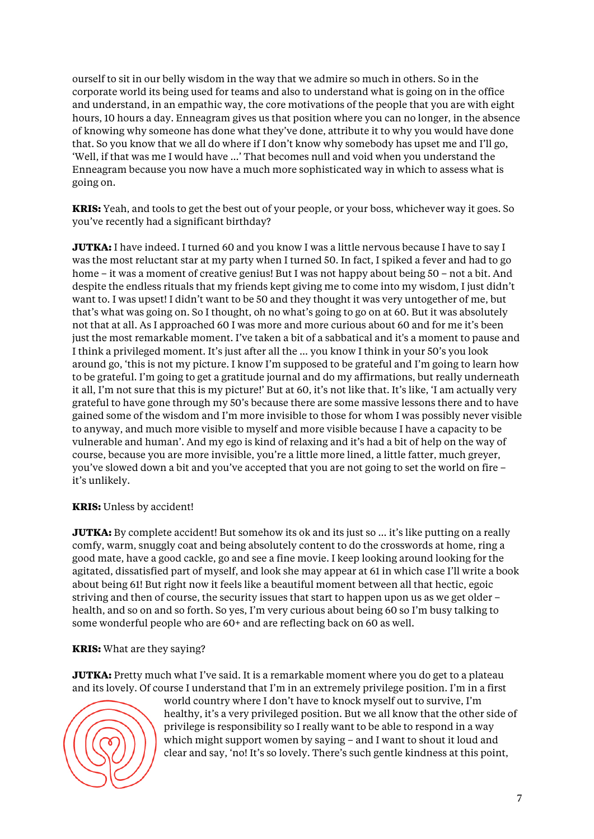ourself to sit in our belly wisdom in the way that we admire so much in others. So in the corporate world its being used for teams and also to understand what is going on in the office and understand, in an empathic way, the core motivations of the people that you are with eight hours, 10 hours a day. Enneagram gives us that position where you can no longer, in the absence of knowing why someone has done what they've done, attribute it to why you would have done that. So you know that we all do where if I don't know why somebody has upset me and I'll go, 'Well, if that was me I would have …' That becomes null and void when you understand the Enneagram because you now have a much more sophisticated way in which to assess what is going on.

**KRIS:** Yeah, and tools to get the best out of your people, or your boss, whichever way it goes. So you've recently had a significant birthday?

**JUTKA:** I have indeed. I turned 60 and you know I was a little nervous because I have to say I was the most reluctant star at my party when I turned 50. In fact, I spiked a fever and had to go home – it was a moment of creative genius! But I was not happy about being 50 – not a bit. And despite the endless rituals that my friends kept giving me to come into my wisdom, I just didn't want to. I was upset! I didn't want to be 50 and they thought it was very untogether of me, but that's what was going on. So I thought, oh no what's going to go on at 60. But it was absolutely not that at all. As I approached 60 I was more and more curious about 60 and for me it's been just the most remarkable moment. I've taken a bit of a sabbatical and it's a moment to pause and I think a privileged moment. It's just after all the … you know I think in your 50's you look around go, 'this is not my picture. I know I'm supposed to be grateful and I'm going to learn how to be grateful. I'm going to get a gratitude journal and do my affirmations, but really underneath it all, I'm not sure that this is my picture!' But at 60, it's not like that. It's like, 'I am actually very grateful to have gone through my 50's because there are some massive lessons there and to have gained some of the wisdom and I'm more invisible to those for whom I was possibly never visible to anyway, and much more visible to myself and more visible because I have a capacity to be vulnerable and human'. And my ego is kind of relaxing and it's had a bit of help on the way of course, because you are more invisible, you're a little more lined, a little fatter, much greyer, you've slowed down a bit and you've accepted that you are not going to set the world on fire – it's unlikely.

#### **KRIS:** Unless by accident!

**JUTKA:** By complete accident! But somehow its ok and its just so ... it's like putting on a really comfy, warm, snuggly coat and being absolutely content to do the crosswords at home, ring a good mate, have a good cackle, go and see a fine movie. I keep looking around looking for the agitated, dissatisfied part of myself, and look she may appear at 61 in which case I'll write a book about being 61! But right now it feels like a beautiful moment between all that hectic, egoic striving and then of course, the security issues that start to happen upon us as we get older – health, and so on and so forth. So yes, I'm very curious about being 60 so I'm busy talking to some wonderful people who are 60+ and are reflecting back on 60 as well.

## **KRIS:** What are they saying?

**JUTKA:** Pretty much what I've said. It is a remarkable moment where you do get to a plateau and its lovely. Of course I understand that I'm in an extremely privilege position. I'm in a first



world country where I don't have to knock myself out to survive, I'm healthy, it's a very privileged position. But we all know that the other side of privilege is responsibility so I really want to be able to respond in a way which might support women by saying – and I want to shout it loud and clear and say, 'no! It's so lovely. There's such gentle kindness at this point,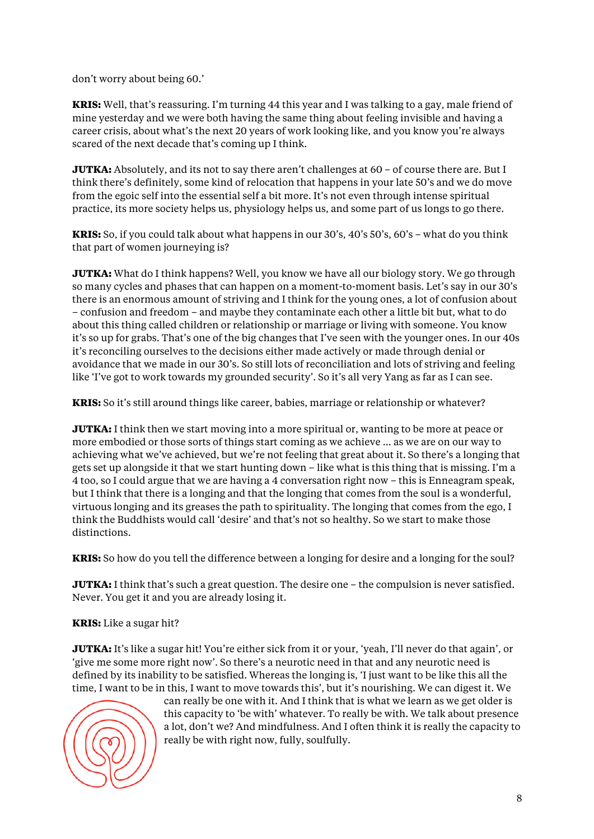don't worry about being 60.'

**KRIS:** Well, that's reassuring. I'm turning 44 this year and I was talking to a gay, male friend of mine yesterday and we were both having the same thing about feeling invisible and having a career crisis, about what's the next 20 years of work looking like, and you know you're always scared of the next decade that's coming up I think.

**JUTKA:** Absolutely, and its not to say there aren't challenges at 60 – of course there are. But I think there's definitely, some kind of relocation that happens in your late 50's and we do move from the egoic self into the essential self a bit more. It's not even through intense spiritual practice, its more society helps us, physiology helps us, and some part of us longs to go there.

**KRIS:** So, if you could talk about what happens in our 30's, 40's 50's, 60's – what do you think that part of women journeying is?

**JUTKA:** What do I think happens? Well, you know we have all our biology story. We go through so many cycles and phases that can happen on a moment-to-moment basis. Let's say in our 30's there is an enormous amount of striving and I think for the young ones, a lot of confusion about – confusion and freedom – and maybe they contaminate each other a little bit but, what to do about this thing called children or relationship or marriage or living with someone. You know it's so up for grabs. That's one of the big changes that I've seen with the younger ones. In our 40s it's reconciling ourselves to the decisions either made actively or made through denial or avoidance that we made in our 30's. So still lots of reconciliation and lots of striving and feeling like 'I've got to work towards my grounded security'. So it's all very Yang as far as I can see.

**KRIS:** So it's still around things like career, babies, marriage or relationship or whatever?

**JUTKA:** I think then we start moving into a more spiritual or, wanting to be more at peace or more embodied or those sorts of things start coming as we achieve … as we are on our way to achieving what we've achieved, but we're not feeling that great about it. So there's a longing that gets set up alongside it that we start hunting down – like what is this thing that is missing. I'm a 4 too, so I could argue that we are having a 4 conversation right now – this is Enneagram speak, but I think that there is a longing and that the longing that comes from the soul is a wonderful, virtuous longing and its greases the path to spirituality. The longing that comes from the ego, I think the Buddhists would call 'desire' and that's not so healthy. So we start to make those distinctions.

**KRIS:** So how do you tell the difference between a longing for desire and a longing for the soul?

**JUTKA:** I think that's such a great question. The desire one – the compulsion is never satisfied. Never. You get it and you are already losing it.

## **KRIS:** Like a sugar hit?

**JUTKA:** It's like a sugar hit! You're either sick from it or your, 'yeah, I'll never do that again', or 'give me some more right now'. So there's a neurotic need in that and any neurotic need is defined by its inability to be satisfied. Whereas the longing is, 'I just want to be like this all the time, I want to be in this, I want to move towards this', but it's nourishing. We can digest it. We



can really be one with it. And I think that is what we learn as we get older is this capacity to 'be with' whatever. To really be with. We talk about presence a lot, don't we? And mindfulness. And I often think it is really the capacity to really be with right now, fully, soulfully.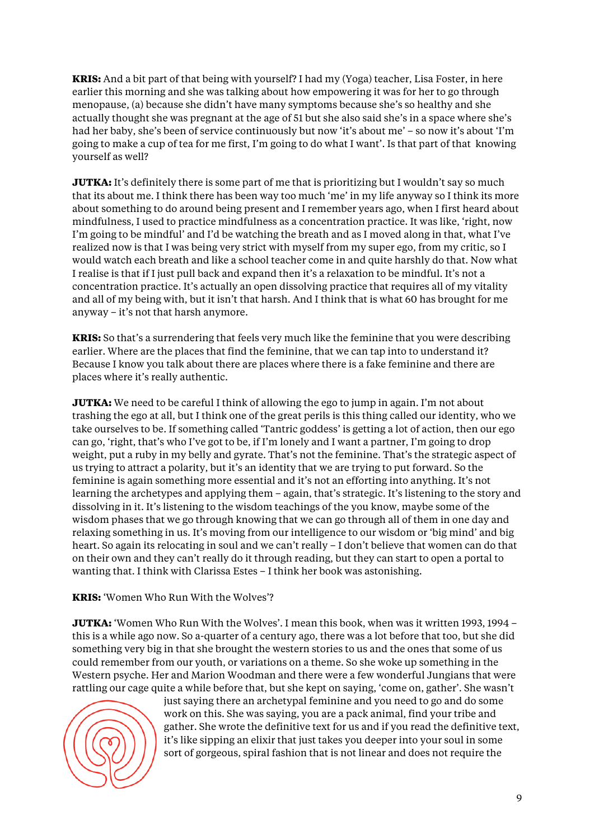**KRIS:** And a bit part of that being with yourself? I had my (Yoga) teacher, Lisa Foster, in here earlier this morning and she was talking about how empowering it was for her to go through menopause, (a) because she didn't have many symptoms because she's so healthy and she actually thought she was pregnant at the age of 51 but she also said she's in a space where she's had her baby, she's been of service continuously but now 'it's about me' – so now it's about 'I'm going to make a cup of tea for me first, I'm going to do what I want'. Is that part of that knowing yourself as well?

**JUTKA:** It's definitely there is some part of me that is prioritizing but I wouldn't say so much that its about me. I think there has been way too much 'me' in my life anyway so I think its more about something to do around being present and I remember years ago, when I first heard about mindfulness, I used to practice mindfulness as a concentration practice. It was like, 'right, now I'm going to be mindful' and I'd be watching the breath and as I moved along in that, what I've realized now is that I was being very strict with myself from my super ego, from my critic, so I would watch each breath and like a school teacher come in and quite harshly do that. Now what I realise is that if I just pull back and expand then it's a relaxation to be mindful. It's not a concentration practice. It's actually an open dissolving practice that requires all of my vitality and all of my being with, but it isn't that harsh. And I think that is what 60 has brought for me anyway – it's not that harsh anymore.

**KRIS:** So that's a surrendering that feels very much like the feminine that you were describing earlier. Where are the places that find the feminine, that we can tap into to understand it? Because I know you talk about there are places where there is a fake feminine and there are places where it's really authentic.

**JUTKA:** We need to be careful I think of allowing the ego to jump in again. I'm not about trashing the ego at all, but I think one of the great perils is this thing called our identity, who we take ourselves to be. If something called 'Tantric goddess' is getting a lot of action, then our ego can go, 'right, that's who I've got to be, if I'm lonely and I want a partner, I'm going to drop weight, put a ruby in my belly and gyrate. That's not the feminine. That's the strategic aspect of us trying to attract a polarity, but it's an identity that we are trying to put forward. So the feminine is again something more essential and it's not an efforting into anything. It's not learning the archetypes and applying them – again, that's strategic. It's listening to the story and dissolving in it. It's listening to the wisdom teachings of the you know, maybe some of the wisdom phases that we go through knowing that we can go through all of them in one day and relaxing something in us. It's moving from our intelligence to our wisdom or 'big mind' and big heart. So again its relocating in soul and we can't really – I don't believe that women can do that on their own and they can't really do it through reading, but they can start to open a portal to wanting that. I think with Clarissa Estes – I think her book was astonishing.

## **KRIS:** 'Women Who Run With the Wolves'?

**JUTKA:** 'Women Who Run With the Wolves'. I mean this book, when was it written 1993, 1994 – this is a while ago now. So a-quarter of a century ago, there was a lot before that too, but she did something very big in that she brought the western stories to us and the ones that some of us could remember from our youth, or variations on a theme. So she woke up something in the Western psyche. Her and Marion Woodman and there were a few wonderful Jungians that were rattling our cage quite a while before that, but she kept on saying, 'come on, gather'. She wasn't



just saying there an archetypal feminine and you need to go and do some work on this. She was saying, you are a pack animal, find your tribe and gather. She wrote the definitive text for us and if you read the definitive text, it's like sipping an elixir that just takes you deeper into your soul in some sort of gorgeous, spiral fashion that is not linear and does not require the